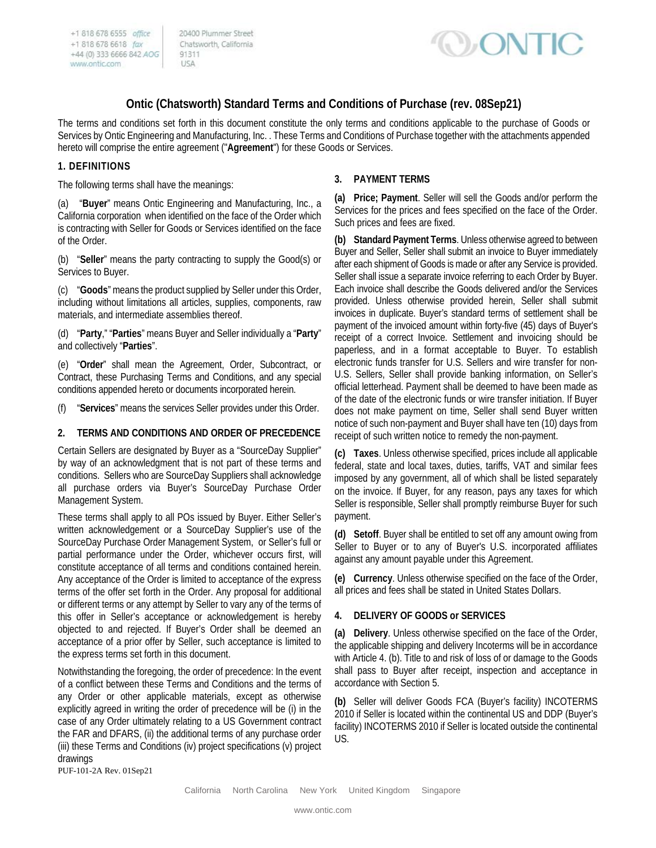20400 Plummer Street Chatsworth, California 91311 USA



# **Ontic (Chatsworth) Standard Terms and Conditions of Purchase (rev. 08Sep21)**

The terms and conditions set forth in this document constitute the only terms and conditions applicable to the purchase of Goods or Services by Ontic Engineering and Manufacturing, Inc. . These Terms and Conditions of Purchase together with the attachments appended hereto will comprise the entire agreement ("**Agreement**") for these Goods or Services.

### **1. DEFINITIONS**

The following terms shall have the meanings:

(a) "**Buyer**" means Ontic Engineering and Manufacturing, Inc., a California corporation when identified on the face of the Order which is contracting with Seller for Goods or Services identified on the face of the Order.

(b) "**Seller**" means the party contracting to supply the Good(s) or Services to Buyer.

(c) "**Goods**" means the product supplied by Seller under this Order, including without limitations all articles, supplies, components, raw materials, and intermediate assemblies thereof.

(d) "**Party**," "**Parties**" means Buyer and Seller individually a "**Party**" and collectively "**Parties**".

(e) "**Order**" shall mean the Agreement, Order, Subcontract, or Contract, these Purchasing Terms and Conditions, and any special conditions appended hereto or documents incorporated herein.

(f) "**Services**" means the services Seller provides under this Order.

### **2. TERMS AND CONDITIONS AND ORDER OF PRECEDENCE**

Certain Sellers are designated by Buyer as a "SourceDay Supplier" by way of an acknowledgment that is not part of these terms and conditions. Sellers who are SourceDay Suppliers shall acknowledge all purchase orders via Buyer's SourceDay Purchase Order Management System.

These terms shall apply to all POs issued by Buyer. Either Seller's written acknowledgement or a SourceDay Supplier's use of the SourceDay Purchase Order Management System, or Seller's full or partial performance under the Order, whichever occurs first, will constitute acceptance of all terms and conditions contained herein. Any acceptance of the Order is limited to acceptance of the express terms of the offer set forth in the Order. Any proposal for additional or different terms or any attempt by Seller to vary any of the terms of this offer in Seller's acceptance or acknowledgement is hereby objected to and rejected. If Buyer's Order shall be deemed an acceptance of a prior offer by Seller, such acceptance is limited to the express terms set forth in this document.

PUF-101-2A Rev. 01Sep21 Notwithstanding the foregoing, the order of precedence: In the event of a conflict between these Terms and Conditions and the terms of any Order or other applicable materials, except as otherwise explicitly agreed in writing the order of precedence will be (i) in the case of any Order ultimately relating to a US Government contract the FAR and DFARS, (ii) the additional terms of any purchase order (iii) these Terms and Conditions (iv) project specifications (v) project drawings

## **3. PAYMENT TERMS**

**(a) Price; Payment**. Seller will sell the Goods and/or perform the Services for the prices and fees specified on the face of the Order. Such prices and fees are fixed.

**(b) Standard Payment Terms**. Unless otherwise agreed to between Buyer and Seller, Seller shall submit an invoice to Buyer immediately after each shipment of Goods is made or after any Service is provided. Seller shall issue a separate invoice referring to each Order by Buyer. Each invoice shall describe the Goods delivered and/or the Services provided. Unless otherwise provided herein, Seller shall submit invoices in duplicate. Buyer's standard terms of settlement shall be payment of the invoiced amount within forty-five (45) days of Buyer's receipt of a correct Invoice. Settlement and invoicing should be paperless, and in a format acceptable to Buyer. To establish electronic funds transfer for U.S. Sellers and wire transfer for non-U.S. Sellers, Seller shall provide banking information, on Seller's official letterhead. Payment shall be deemed to have been made as of the date of the electronic funds or wire transfer initiation. If Buyer does not make payment on time, Seller shall send Buyer written notice of such non-payment and Buyer shall have ten (10) days from receipt of such written notice to remedy the non-payment.

**(c) Taxes**. Unless otherwise specified, prices include all applicable federal, state and local taxes, duties, tariffs, VAT and similar fees imposed by any government, all of which shall be listed separately on the invoice. If Buyer, for any reason, pays any taxes for which Seller is responsible, Seller shall promptly reimburse Buyer for such payment.

**(d) Setoff**. Buyer shall be entitled to set off any amount owing from Seller to Buyer or to any of Buyer's U.S. incorporated affiliates against any amount payable under this Agreement.

**(e) Currency**. Unless otherwise specified on the face of the Order, all prices and fees shall be stated in United States Dollars.

### **4. DELIVERY OF GOODS or SERVICES**

**(a) Delivery**. Unless otherwise specified on the face of the Order, the applicable shipping and delivery Incoterms will be in accordance with Article 4. (b). Title to and risk of loss of or damage to the Goods shall pass to Buyer after receipt, inspection and acceptance in accordance with Section 5.

**(b)** Seller will deliver Goods FCA (Buyer's facility) INCOTERMS 2010 if Seller is located within the continental US and DDP (Buyer's facility) INCOTERMS 2010 if Seller is located outside the continental US.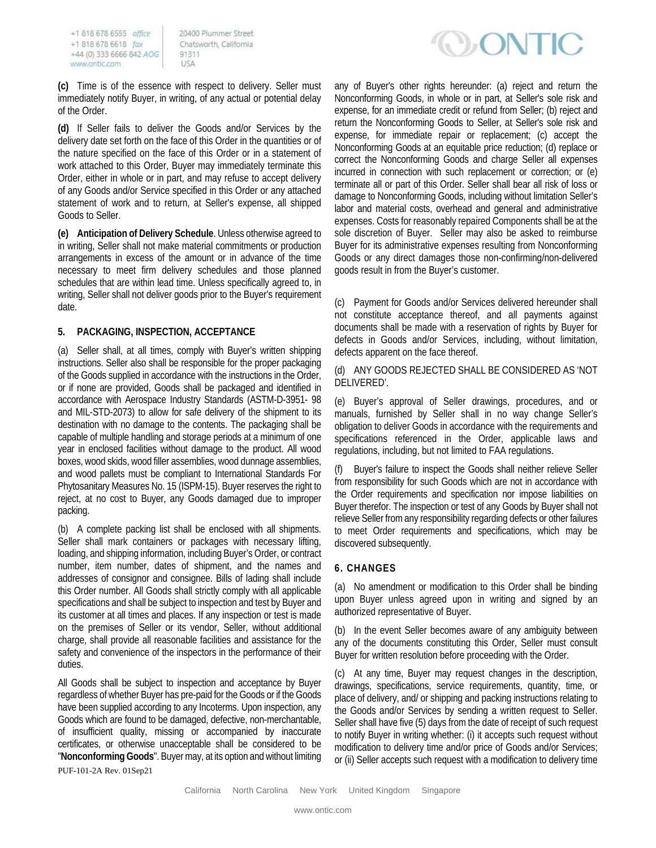20400 Plummer Street Chatsworth, California 91311 USA

**(c)** Time is of the essence with respect to delivery. Seller must immediately notify Buyer, in writing, of any actual or potential delay of the Order.

**(d)** If Seller fails to deliver the Goods and/or Services by the delivery date set forth on the face of this Order in the quantities or of the nature specified on the face of this Order or in a statement of work attached to this Order, Buyer may immediately terminate this Order, either in whole or in part, and may refuse to accept delivery of any Goods and/or Service specified in this Order or any attached statement of work and to return, at Seller's expense, all shipped Goods to Seller.

**(e) Anticipation of Delivery Schedule**. Unless otherwise agreed to in writing, Seller shall not make material commitments or production arrangements in excess of the amount or in advance of the time necessary to meet firm delivery schedules and those planned schedules that are within lead time. Unless specifically agreed to, in writing, Seller shall not deliver goods prior to the Buyer's requirement date.

### **5. PACKAGING, INSPECTION, ACCEPTANCE**

(a) Seller shall, at all times, comply with Buyer's written shipping instructions. Seller also shall be responsible for the proper packaging of the Goods supplied in accordance with the instructions in the Order, or if none are provided, Goods shall be packaged and identified in accordance with Aerospace Industry Standards (ASTM-D-3951- 98 and MIL-STD-2073) to allow for safe delivery of the shipment to its destination with no damage to the contents. The packaging shall be capable of multiple handling and storage periods at a minimum of one year in enclosed facilities without damage to the product. All wood boxes, wood skids, wood filler assemblies, wood dunnage assemblies, and wood pallets must be compliant to International Standards For Phytosanitary Measures No. 15 (ISPM-15). Buyer reserves the right to reject, at no cost to Buyer, any Goods damaged due to improper packing.

(b) A complete packing list shall be enclosed with all shipments. Seller shall mark containers or packages with necessary lifting, loading, and shipping information, including Buyer's Order, or contract number, item number, dates of shipment, and the names and addresses of consignor and consignee. Bills of lading shall include this Order number. All Goods shall strictly comply with all applicable specifications and shall be subject to inspection and test by Buyer and its customer at all times and places. If any inspection or test is made on the premises of Seller or its vendor, Seller, without additional charge, shall provide all reasonable facilities and assistance for the safety and convenience of the inspectors in the performance of their duties.

All Goods shall be subject to inspection and acceptance by Buyer regardless of whether Buyer has pre-paid for the Goods or if the Goods have been supplied according to any Incoterms. Upon inspection, any Goods which are found to be damaged, defective, non-merchantable, of insufficient quality, missing or accompanied by inaccurate certificates, or otherwise unacceptable shall be considered to be "**Nonconforming Goods**". Buyer may, at its option and without limiting **DONTIC** 

any of Buyer's other rights hereunder: (a) reject and return the Nonconforming Goods, in whole or in part, at Seller's sole risk and expense, for an immediate credit or refund from Seller; (b) reject and return the Nonconforming Goods to Seller, at Seller's sole risk and expense, for immediate repair or replacement; (c) accept the Nonconforming Goods at an equitable price reduction; (d) replace or correct the Nonconforming Goods and charge Seller all expenses incurred in connection with such replacement or correction; or (e) terminate all or part of this Order. Seller shall bear all risk of loss or damage to Nonconforming Goods, including without limitation Seller's labor and material costs, overhead and general and administrative expenses. Costs for reasonably repaired Components shall be at the sole discretion of Buyer. Seller may also be asked to reimburse Buyer for its administrative expenses resulting from Nonconforming Goods or any direct damages those non-confirming/non-delivered goods result in from the Buyer's customer.

(c) Payment for Goods and/or Services delivered hereunder shall not constitute acceptance thereof, and all payments against documents shall be made with a reservation of rights by Buyer for defects in Goods and/or Services, including, without limitation, defects apparent on the face thereof.

#### (d) ANY GOODS REJECTED SHALL BE CONSIDERED AS 'NOT DELIVERED'.

(e) Buyer's approval of Seller drawings, procedures, and or manuals, furnished by Seller shall in no way change Seller's obligation to deliver Goods in accordance with the requirements and specifications referenced in the Order, applicable laws and regulations, including, but not limited to FAA regulations.

(f) Buyer's failure to inspect the Goods shall neither relieve Seller from responsibility for such Goods which are not in accordance with the Order requirements and specification nor impose liabilities on Buyer therefor. The inspection or test of any Goods by Buyer shall not relieve Seller from any responsibility regarding defects or other failures to meet Order requirements and specifications, which may be discovered subsequently.

### **6. CHANGES**

(a) No amendment or modification to this Order shall be binding upon Buyer unless agreed upon in writing and signed by an authorized representative of Buyer.

(b) In the event Seller becomes aware of any ambiguity between any of the documents constituting this Order, Seller must consult Buyer for written resolution before proceeding with the Order.

(c) At any time, Buyer may request changes in the description, drawings, specifications, service requirements, quantity, time, or place of delivery, and/ or shipping and packing instructions relating to the Goods and/or Services by sending a written request to Seller. Seller shall have five (5) days from the date of receipt of such request to notify Buyer in writing whether: (i) it accepts such request without modification to delivery time and/or price of Goods and/or Services; or (ii) Seller accepts such request with a modification to delivery time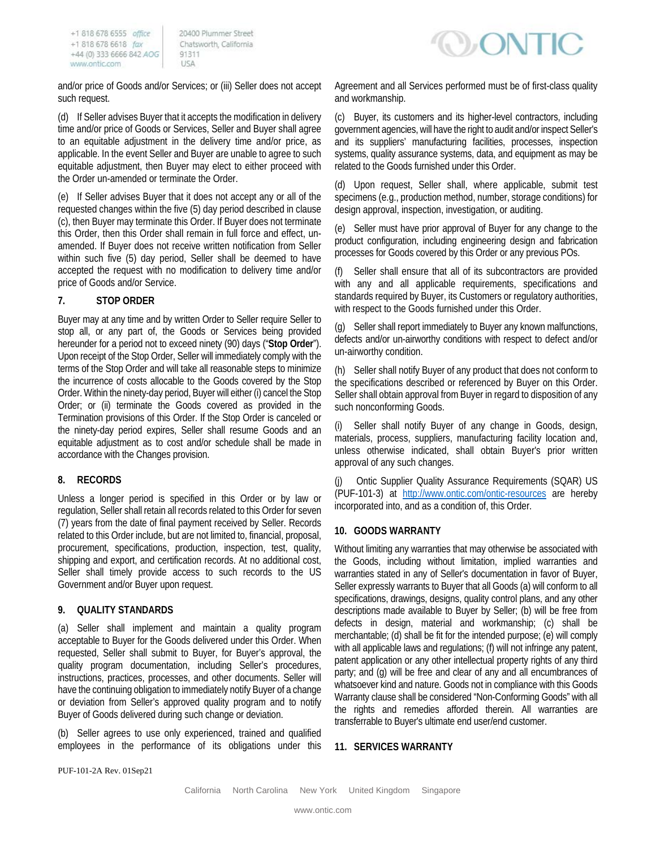20400 Plummer Street Chatsworth, California 91311 A2U

and/or price of Goods and/or Services; or (iii) Seller does not accept such request.

(d) If Seller advises Buyer that it accepts the modification in delivery time and/or price of Goods or Services, Seller and Buyer shall agree to an equitable adjustment in the delivery time and/or price, as applicable. In the event Seller and Buyer are unable to agree to such equitable adjustment, then Buyer may elect to either proceed with the Order un-amended or terminate the Order.

(e) If Seller advises Buyer that it does not accept any or all of the requested changes within the five (5) day period described in clause (c), then Buyer may terminate this Order. If Buyer does not terminate this Order, then this Order shall remain in full force and effect, unamended. If Buyer does not receive written notification from Seller within such five (5) day period, Seller shall be deemed to have accepted the request with no modification to delivery time and/or price of Goods and/or Service.

## **7. STOP ORDER**

Buyer may at any time and by written Order to Seller require Seller to stop all, or any part of, the Goods or Services being provided hereunder for a period not to exceed ninety (90) days ("**Stop Order**"). Upon receipt of the Stop Order, Seller will immediately comply with the terms of the Stop Order and will take all reasonable steps to minimize the incurrence of costs allocable to the Goods covered by the Stop Order. Within the ninety-day period, Buyer will either (i) cancel the Stop Order; or (ii) terminate the Goods covered as provided in the Termination provisions of this Order. If the Stop Order is canceled or the ninety-day period expires, Seller shall resume Goods and an equitable adjustment as to cost and/or schedule shall be made in accordance with the Changes provision.

## **8. RECORDS**

Unless a longer period is specified in this Order or by law or regulation, Seller shall retain all records related to this Order for seven (7) years from the date of final payment received by Seller. Records related to this Order include, but are not limited to, financial, proposal, procurement, specifications, production, inspection, test, quality, shipping and export, and certification records. At no additional cost, Seller shall timely provide access to such records to the US Government and/or Buyer upon request.

### **9. QUALITY STANDARDS**

(a) Seller shall implement and maintain a quality program acceptable to Buyer for the Goods delivered under this Order. When requested, Seller shall submit to Buyer, for Buyer's approval, the quality program documentation, including Seller's procedures, instructions, practices, processes, and other documents. Seller will have the continuing obligation to immediately notify Buyer of a change or deviation from Seller's approved quality program and to notify Buyer of Goods delivered during such change or deviation.

(b) Seller agrees to use only experienced, trained and qualified employees in the performance of its obligations under this



Agreement and all Services performed must be of first-class quality and workmanship.

(c) Buyer, its customers and its higher-level contractors, including government agencies, will have the right to audit and/or inspect Seller's and its suppliers' manufacturing facilities, processes, inspection systems, quality assurance systems, data, and equipment as may be related to the Goods furnished under this Order.

(d) Upon request, Seller shall, where applicable, submit test specimens (e.g., production method, number, storage conditions) for design approval, inspection, investigation, or auditing.

(e) Seller must have prior approval of Buyer for any change to the product configuration, including engineering design and fabrication processes for Goods covered by this Order or any previous POs.

(f) Seller shall ensure that all of its subcontractors are provided with any and all applicable requirements, specifications and standards required by Buyer, its Customers or regulatory authorities, with respect to the Goods furnished under this Order.

(g) Seller shall report immediately to Buyer any known malfunctions, defects and/or un-airworthy conditions with respect to defect and/or un-airworthy condition.

(h) Seller shall notify Buyer of any product that does not conform to the specifications described or referenced by Buyer on this Order. Seller shall obtain approval from Buyer in regard to disposition of any such nonconforming Goods.

Seller shall notify Buyer of any change in Goods, design, materials, process, suppliers, manufacturing facility location and, unless otherwise indicated, shall obtain Buyer's prior written approval of any such changes.

(j) Ontic Supplier Quality Assurance Requirements (SQAR) US (PUF-101-3) at <http://www.ontic.com/ontic-resources> are hereby incorporated into, and as a condition of, this Order.

### **10. GOODS WARRANTY**

Without limiting any warranties that may otherwise be associated with the Goods, including without limitation, implied warranties and warranties stated in any of Seller's documentation in favor of Buyer, Seller expressly warrants to Buyer that all Goods (a) will conform to all specifications, drawings, designs, quality control plans, and any other descriptions made available to Buyer by Seller; (b) will be free from defects in design, material and workmanship; (c) shall be merchantable; (d) shall be fit for the intended purpose; (e) will comply with all applicable laws and regulations; (f) will not infringe any patent, patent application or any other intellectual property rights of any third party; and (g) will be free and clear of any and all encumbrances of whatsoever kind and nature. Goods not in compliance with this Goods Warranty clause shall be considered "Non-Conforming Goods" with all the rights and remedies afforded therein. All warranties are transferrable to Buyer's ultimate end user/end customer.

### **11. SERVICES WARRANTY**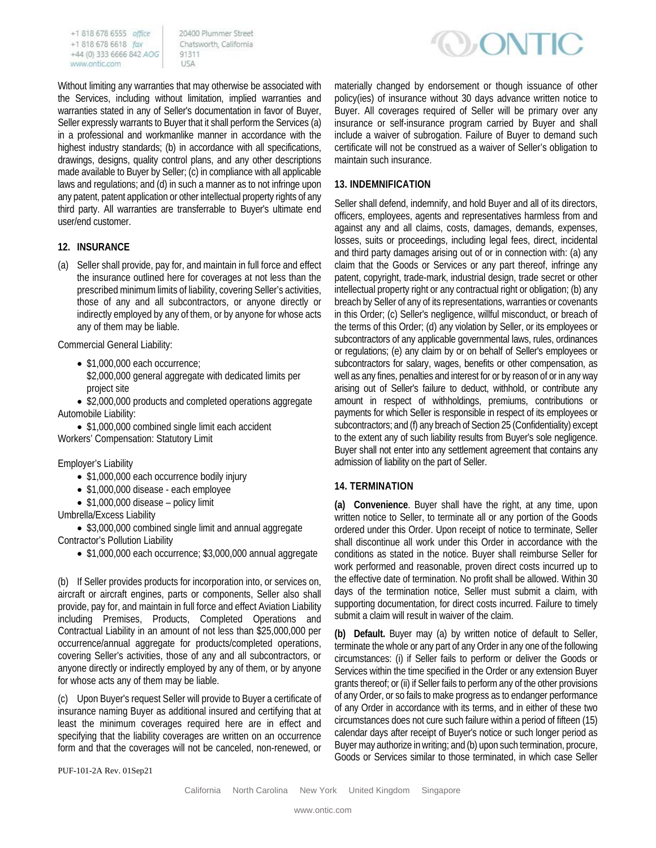20400 Plummer Street Chatsworth, California 91311 A2U

Without limiting any warranties that may otherwise be associated with the Services, including without limitation, implied warranties and warranties stated in any of Seller's documentation in favor of Buyer, Seller expressly warrants to Buyer that it shall perform the Services (a) in a professional and workmanlike manner in accordance with the highest industry standards; (b) in accordance with all specifications, drawings, designs, quality control plans, and any other descriptions made available to Buyer by Seller; (c) in compliance with all applicable laws and regulations; and (d) in such a manner as to not infringe upon any patent, patent application or other intellectual property rights of any third party. All warranties are transferrable to Buyer's ultimate end user/end customer.

## **12. INSURANCE**

(a) Seller shall provide, pay for, and maintain in full force and effect the insurance outlined here for coverages at not less than the prescribed minimum limits of liability, covering Seller's activities, those of any and all subcontractors, or anyone directly or indirectly employed by any of them, or by anyone for whose acts any of them may be liable.

Commercial General Liability:

- \$1,000,000 each occurrence;
- \$2,000,000 general aggregate with dedicated limits per project site

• \$2,000,000 products and completed operations aggregate Automobile Liability:

• \$1,000,000 combined single limit each accident Workers' Compensation: Statutory Limit

Employer's Liability

- \$1,000,000 each occurrence bodily injury
- \$1,000,000 disease each employee
- \$1,000,000 disease policy limit

Umbrella/Excess Liability

• \$3,000,000 combined single limit and annual aggregate Contractor's Pollution Liability

• \$1,000,000 each occurrence; \$3,000,000 annual aggregate

(b) If Seller provides products for incorporation into, or services on, aircraft or aircraft engines, parts or components, Seller also shall provide, pay for, and maintain in full force and effect Aviation Liability including Premises, Products, Completed Operations and Contractual Liability in an amount of not less than \$25,000,000 per occurrence/annual aggregate for products/completed operations, covering Seller's activities, those of any and all subcontractors, or anyone directly or indirectly employed by any of them, or by anyone for whose acts any of them may be liable.

(c) Upon Buyer's request Seller will provide to Buyer a certificate of insurance naming Buyer as additional insured and certifying that at least the minimum coverages required here are in effect and specifying that the liability coverages are written on an occurrence form and that the coverages will not be canceled, non-renewed, or



materially changed by endorsement or though issuance of other policy(ies) of insurance without 30 days advance written notice to Buyer. All coverages required of Seller will be primary over any insurance or self-insurance program carried by Buyer and shall include a waiver of subrogation. Failure of Buyer to demand such certificate will not be construed as a waiver of Seller's obligation to maintain such insurance.

### **13. INDEMNIFICATION**

Seller shall defend, indemnify, and hold Buyer and all of its directors, officers, employees, agents and representatives harmless from and against any and all claims, costs, damages, demands, expenses, losses, suits or proceedings, including legal fees, direct, incidental and third party damages arising out of or in connection with: (a) any claim that the Goods or Services or any part thereof, infringe any patent, copyright, trade-mark, industrial design, trade secret or other intellectual property right or any contractual right or obligation; (b) any breach by Seller of any of its representations, warranties or covenants in this Order; (c) Seller's negligence, willful misconduct, or breach of the terms of this Order; (d) any violation by Seller, or its employees or subcontractors of any applicable governmental laws, rules, ordinances or regulations; (e) any claim by or on behalf of Seller's employees or subcontractors for salary, wages, benefits or other compensation, as well as any fines, penalties and interest for or by reason of or in any way arising out of Seller's failure to deduct, withhold, or contribute any amount in respect of withholdings, premiums, contributions or payments for which Seller is responsible in respect of its employees or subcontractors; and (f) any breach of Section 25 (Confidentiality) except to the extent any of such liability results from Buyer's sole negligence. Buyer shall not enter into any settlement agreement that contains any admission of liability on the part of Seller.

### **14. TERMINATION**

**(a) Convenience**. Buyer shall have the right, at any time, upon written notice to Seller, to terminate all or any portion of the Goods ordered under this Order. Upon receipt of notice to terminate, Seller shall discontinue all work under this Order in accordance with the conditions as stated in the notice. Buyer shall reimburse Seller for work performed and reasonable, proven direct costs incurred up to the effective date of termination. No profit shall be allowed. Within 30 days of the termination notice, Seller must submit a claim, with supporting documentation, for direct costs incurred. Failure to timely submit a claim will result in waiver of the claim.

**(b) Default.** Buyer may (a) by written notice of default to Seller, terminate the whole or any part of any Order in any one of the following circumstances: (i) if Seller fails to perform or deliver the Goods or Services within the time specified in the Order or any extension Buyer grants thereof; or (ii) if Seller fails to perform any of the other provisions of any Order, or so fails to make progress as to endanger performance of any Order in accordance with its terms, and in either of these two circumstances does not cure such failure within a period of fifteen (15) calendar days after receipt of Buyer's notice or such longer period as Buyer may authorize in writing; and (b) upon such termination, procure, Goods or Services similar to those terminated, in which case Seller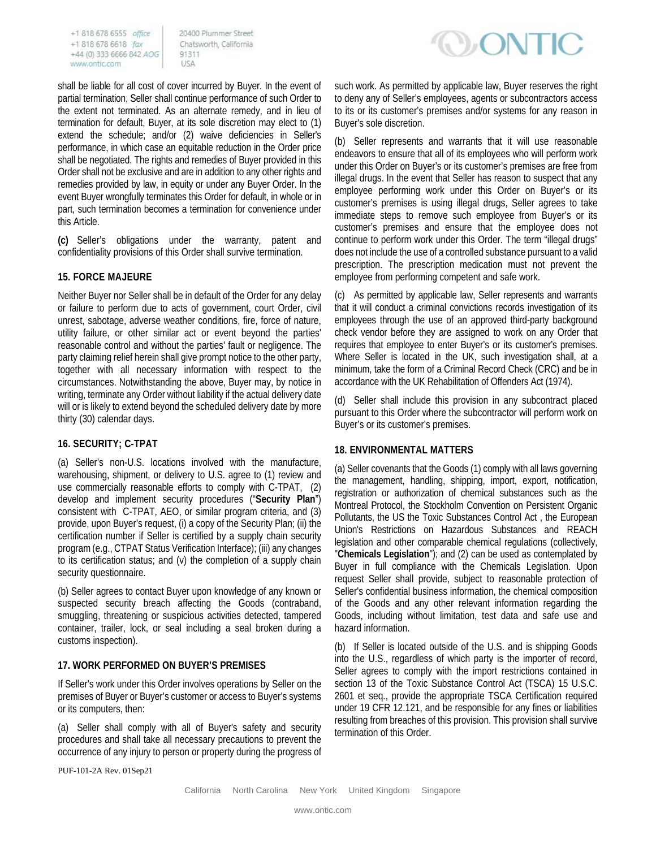20400 Plummer Street Chatsworth, California 91311 USA

shall be liable for all cost of cover incurred by Buyer. In the event of partial termination, Seller shall continue performance of such Order to the extent not terminated. As an alternate remedy, and in lieu of termination for default, Buyer, at its sole discretion may elect to (1) extend the schedule; and/or (2) waive deficiencies in Seller's performance, in which case an equitable reduction in the Order price shall be negotiated. The rights and remedies of Buyer provided in this Order shall not be exclusive and are in addition to any other rights and remedies provided by law, in equity or under any Buyer Order. In the event Buyer wrongfully terminates this Order for default, in whole or in part, such termination becomes a termination for convenience under this Article.

**(c)** Seller's obligations under the warranty, patent and confidentiality provisions of this Order shall survive termination.

### **15. FORCE MAJEURE**

Neither Buyer nor Seller shall be in default of the Order for any delay or failure to perform due to acts of government, court Order, civil unrest, sabotage, adverse weather conditions, fire, force of nature, utility failure, or other similar act or event beyond the parties' reasonable control and without the parties' fault or negligence. The party claiming relief herein shall give prompt notice to the other party, together with all necessary information with respect to the circumstances. Notwithstanding the above, Buyer may, by notice in writing, terminate any Order without liability if the actual delivery date will or is likely to extend beyond the scheduled delivery date by more thirty (30) calendar days.

### **16. SECURITY; C-TPAT**

(a) Seller's non-U.S. locations involved with the manufacture, warehousing, shipment, or delivery to U.S. agree to (1) review and use commercially reasonable efforts to comply with C-TPAT, (2) develop and implement security procedures ("**Security Plan**") consistent with C-TPAT, AEO, or similar program criteria, and (3) provide, upon Buyer's request, (i) a copy of the Security Plan; (ii) the certification number if Seller is certified by a supply chain security program (e.g., CTPAT Status Verification Interface); (iii) any changes to its certification status; and (v) the completion of a supply chain security questionnaire.

(b) Seller agrees to contact Buyer upon knowledge of any known or suspected security breach affecting the Goods (contraband, smuggling, threatening or suspicious activities detected, tampered container, trailer, lock, or seal including a seal broken during a customs inspection).

### **17. WORK PERFORMED ON BUYER'S PREMISES**

If Seller's work under this Order involves operations by Seller on the premises of Buyer or Buyer's customer or access to Buyer's systems or its computers, then:

(a) Seller shall comply with all of Buyer's safety and security procedures and shall take all necessary precautions to prevent the occurrence of any injury to person or property during the progress of



such work. As permitted by applicable law, Buyer reserves the right to deny any of Seller's employees, agents or subcontractors access to its or its customer's premises and/or systems for any reason in Buyer's sole discretion.

(b) Seller represents and warrants that it will use reasonable endeavors to ensure that all of its employees who will perform work under this Order on Buyer's or its customer's premises are free from illegal drugs. In the event that Seller has reason to suspect that any employee performing work under this Order on Buyer's or its customer's premises is using illegal drugs, Seller agrees to take immediate steps to remove such employee from Buyer's or its customer's premises and ensure that the employee does not continue to perform work under this Order. The term "illegal drugs" does not include the use of a controlled substance pursuant to a valid prescription. The prescription medication must not prevent the employee from performing competent and safe work.

(c) As permitted by applicable law, Seller represents and warrants that it will conduct a criminal convictions records investigation of its employees through the use of an approved third-party background check vendor before they are assigned to work on any Order that requires that employee to enter Buyer's or its customer's premises. Where Seller is located in the UK, such investigation shall, at a minimum, take the form of a Criminal Record Check (CRC) and be in accordance with the UK Rehabilitation of Offenders Act (1974).

(d) Seller shall include this provision in any subcontract placed pursuant to this Order where the subcontractor will perform work on Buyer's or its customer's premises.

## **18. ENVIRONMENTAL MATTERS**

(a) Seller covenants that the Goods (1) comply with all laws governing the management, handling, shipping, import, export, notification, registration or authorization of chemical substances such as the Montreal Protocol, the Stockholm Convention on Persistent Organic Pollutants, the US the Toxic Substances Control Act , the European Union's Restrictions on Hazardous Substances and REACH legislation and other comparable chemical regulations (collectively, "**Chemicals Legislation**"); and (2) can be used as contemplated by Buyer in full compliance with the Chemicals Legislation. Upon request Seller shall provide, subject to reasonable protection of Seller's confidential business information, the chemical composition of the Goods and any other relevant information regarding the Goods, including without limitation, test data and safe use and hazard information.

(b) If Seller is located outside of the U.S. and is shipping Goods into the U.S., regardless of which party is the importer of record, Seller agrees to comply with the import restrictions contained in section 13 of the Toxic Substance Control Act (TSCA) 15 U.S.C. 2601 et seq., provide the appropriate TSCA Certification required under 19 CFR 12.121, and be responsible for any fines or liabilities resulting from breaches of this provision. This provision shall survive termination of this Order.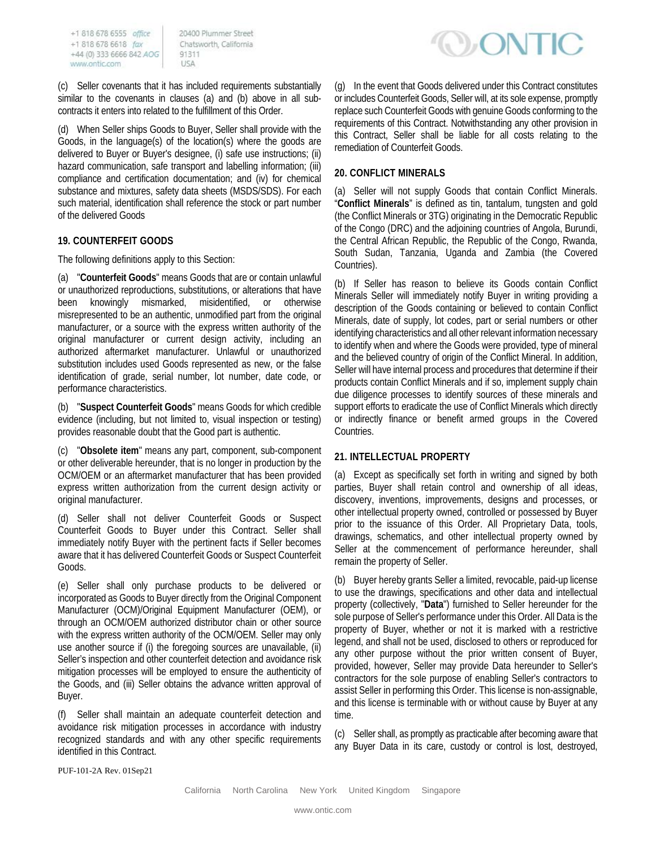20400 Plummer Street Chatsworth, California 91311 USA

(c) Seller covenants that it has included requirements substantially similar to the covenants in clauses (a) and (b) above in all subcontracts it enters into related to the fulfillment of this Order.

(d) When Seller ships Goods to Buyer, Seller shall provide with the Goods, in the language(s) of the location(s) where the goods are delivered to Buyer or Buyer's designee, (i) safe use instructions; (ii) hazard communication, safe transport and labelling information; (iii) compliance and certification documentation; and (iv) for chemical substance and mixtures, safety data sheets (MSDS/SDS). For each such material, identification shall reference the stock or part number of the delivered Goods

#### **19. COUNTERFEIT GOODS**

The following definitions apply to this Section:

(a) "**Counterfeit Goods**" means Goods that are or contain unlawful or unauthorized reproductions, substitutions, or alterations that have been knowingly mismarked, misidentified, or otherwise misrepresented to be an authentic, unmodified part from the original manufacturer, or a source with the express written authority of the original manufacturer or current design activity, including an authorized aftermarket manufacturer. Unlawful or unauthorized substitution includes used Goods represented as new, or the false identification of grade, serial number, lot number, date code, or performance characteristics.

(b) "**Suspect Counterfeit Goods**" means Goods for which credible evidence (including, but not limited to, visual inspection or testing) provides reasonable doubt that the Good part is authentic.

(c) "**Obsolete item**" means any part, component, sub-component or other deliverable hereunder, that is no longer in production by the OCM/OEM or an aftermarket manufacturer that has been provided express written authorization from the current design activity or original manufacturer.

(d) Seller shall not deliver Counterfeit Goods or Suspect Counterfeit Goods to Buyer under this Contract. Seller shall immediately notify Buyer with the pertinent facts if Seller becomes aware that it has delivered Counterfeit Goods or Suspect Counterfeit Goods.

(e) Seller shall only purchase products to be delivered or incorporated as Goods to Buyer directly from the Original Component Manufacturer (OCM)/Original Equipment Manufacturer (OEM), or through an OCM/OEM authorized distributor chain or other source with the express written authority of the OCM/OEM. Seller may only use another source if (i) the foregoing sources are unavailable, (ii) Seller's inspection and other counterfeit detection and avoidance risk mitigation processes will be employed to ensure the authenticity of the Goods, and (iii) Seller obtains the advance written approval of Buyer.

(f) Seller shall maintain an adequate counterfeit detection and avoidance risk mitigation processes in accordance with industry recognized standards and with any other specific requirements identified in this Contract.



(g) In the event that Goods delivered under this Contract constitutes or includes Counterfeit Goods, Seller will, at its sole expense, promptly replace such Counterfeit Goods with genuine Goods conforming to the requirements of this Contract. Notwithstanding any other provision in this Contract, Seller shall be liable for all costs relating to the remediation of Counterfeit Goods.

#### **20. CONFLICT MINERALS**

(a) Seller will not supply Goods that contain Conflict Minerals. "**Conflict Minerals**" is defined as tin, tantalum, tungsten and gold (the Conflict Minerals or 3TG) originating in the Democratic Republic of the Congo (DRC) and the adjoining countries of Angola, Burundi, the Central African Republic, the Republic of the Congo, Rwanda, South Sudan, Tanzania, Uganda and Zambia (the Covered Countries).

(b) If Seller has reason to believe its Goods contain Conflict Minerals Seller will immediately notify Buyer in writing providing a description of the Goods containing or believed to contain Conflict Minerals, date of supply, lot codes, part or serial numbers or other identifying characteristics and all other relevant information necessary to identify when and where the Goods were provided, type of mineral and the believed country of origin of the Conflict Mineral. In addition, Seller will have internal process and procedures that determine if their products contain Conflict Minerals and if so, implement supply chain due diligence processes to identify sources of these minerals and support efforts to eradicate the use of Conflict Minerals which directly or indirectly finance or benefit armed groups in the Covered Countries.

#### **21. INTELLECTUAL PROPERTY**

(a) Except as specifically set forth in writing and signed by both parties, Buyer shall retain control and ownership of all ideas, discovery, inventions, improvements, designs and processes, or other intellectual property owned, controlled or possessed by Buyer prior to the issuance of this Order. All Proprietary Data, tools, drawings, schematics, and other intellectual property owned by Seller at the commencement of performance hereunder, shall remain the property of Seller.

(b) Buyer hereby grants Seller a limited, revocable, paid-up license to use the drawings, specifications and other data and intellectual property (collectively, "**Data**") furnished to Seller hereunder for the sole purpose of Seller's performance under this Order. All Data is the property of Buyer, whether or not it is marked with a restrictive legend, and shall not be used, disclosed to others or reproduced for any other purpose without the prior written consent of Buyer, provided, however, Seller may provide Data hereunder to Seller's contractors for the sole purpose of enabling Seller's contractors to assist Seller in performing this Order. This license is non-assignable, and this license is terminable with or without cause by Buyer at any time.

(c) Seller shall, as promptly as practicable after becoming aware that any Buyer Data in its care, custody or control is lost, destroyed,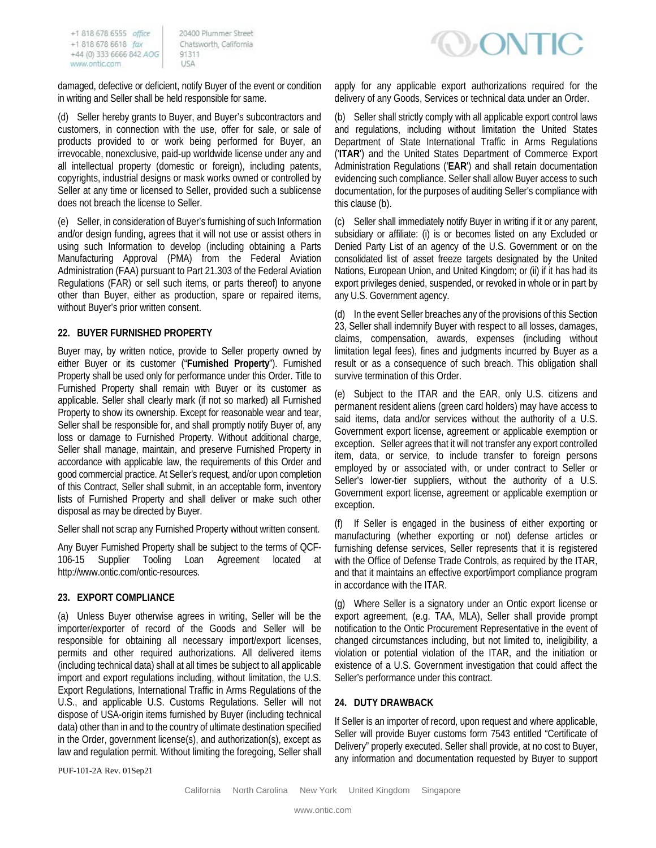20400 Plummer Street Chatsworth, California 91311 USA

damaged, defective or deficient, notify Buyer of the event or condition in writing and Seller shall be held responsible for same.

(d) Seller hereby grants to Buyer, and Buyer's subcontractors and customers, in connection with the use, offer for sale, or sale of products provided to or work being performed for Buyer, an irrevocable, nonexclusive, paid-up worldwide license under any and all intellectual property (domestic or foreign), including patents, copyrights, industrial designs or mask works owned or controlled by Seller at any time or licensed to Seller, provided such a sublicense does not breach the license to Seller.

(e) Seller, in consideration of Buyer's furnishing of such Information and/or design funding, agrees that it will not use or assist others in using such Information to develop (including obtaining a Parts Manufacturing Approval (PMA) from the Federal Aviation Administration (FAA) pursuant to Part 21.303 of the Federal Aviation Regulations (FAR) or sell such items, or parts thereof) to anyone other than Buyer, either as production, spare or repaired items, without Buyer's prior written consent.

#### **22. BUYER FURNISHED PROPERTY**

Buyer may, by written notice, provide to Seller property owned by either Buyer or its customer ("**Furnished Property**"). Furnished Property shall be used only for performance under this Order. Title to Furnished Property shall remain with Buyer or its customer as applicable. Seller shall clearly mark (if not so marked) all Furnished Property to show its ownership. Except for reasonable wear and tear, Seller shall be responsible for, and shall promptly notify Buyer of, any loss or damage to Furnished Property. Without additional charge, Seller shall manage, maintain, and preserve Furnished Property in accordance with applicable law, the requirements of this Order and good commercial practice. At Seller's request, and/or upon completion of this Contract, Seller shall submit, in an acceptable form, inventory lists of Furnished Property and shall deliver or make such other disposal as may be directed by Buyer.

Seller shall not scrap any Furnished Property without written consent.

Any Buyer Furnished Property shall be subject to the terms of QCF-106-15 Supplier Tooling Loan Agreement located at http://www.ontic.com/ontic-resources.

#### **23. EXPORT COMPLIANCE**

(a) Unless Buyer otherwise agrees in writing, Seller will be the importer/exporter of record of the Goods and Seller will be responsible for obtaining all necessary import/export licenses, permits and other required authorizations. All delivered items (including technical data) shall at all times be subject to all applicable import and export regulations including, without limitation, the U.S. Export Regulations, International Traffic in Arms Regulations of the U.S., and applicable U.S. Customs Regulations. Seller will not dispose of USA-origin items furnished by Buyer (including technical data) other than in and to the country of ultimate destination specified in the Order, government license(s), and authorization(s), except as law and regulation permit. Without limiting the foregoing, Seller shall



apply for any applicable export authorizations required for the delivery of any Goods, Services or technical data under an Order.

(b) Seller shall strictly comply with all applicable export control laws and regulations, including without limitation the United States Department of State International Traffic in Arms Regulations ('**ITAR**') and the United States Department of Commerce Export Administration Regulations ('**EAR**') and shall retain documentation evidencing such compliance. Seller shall allow Buyer access to such documentation, for the purposes of auditing Seller's compliance with this clause (b).

(c) Seller shall immediately notify Buyer in writing if it or any parent, subsidiary or affiliate: (i) is or becomes listed on any Excluded or Denied Party List of an agency of the U.S. Government or on the consolidated list of asset freeze targets designated by the United Nations, European Union, and United Kingdom; or (ii) if it has had its export privileges denied, suspended, or revoked in whole or in part by any U.S. Government agency.

(d) In the event Seller breaches any of the provisions of this Section 23, Seller shall indemnify Buyer with respect to all losses, damages, claims, compensation, awards, expenses (including without limitation legal fees), fines and judgments incurred by Buyer as a result or as a consequence of such breach. This obligation shall survive termination of this Order.

(e) Subject to the ITAR and the EAR, only U.S. citizens and permanent resident aliens (green card holders) may have access to said items, data and/or services without the authority of a U.S. Government export license, agreement or applicable exemption or exception. Seller agrees that it will not transfer any export controlled item, data, or service, to include transfer to foreign persons employed by or associated with, or under contract to Seller or Seller's lower-tier suppliers, without the authority of a U.S. Government export license, agreement or applicable exemption or exception.

(f) If Seller is engaged in the business of either exporting or manufacturing (whether exporting or not) defense articles or furnishing defense services, Seller represents that it is registered with the Office of Defense Trade Controls, as required by the ITAR, and that it maintains an effective export/import compliance program in accordance with the ITAR.

(g) Where Seller is a signatory under an Ontic export license or export agreement, (e.g. TAA, MLA), Seller shall provide prompt notification to the Ontic Procurement Representative in the event of changed circumstances including, but not limited to, ineligibility, a violation or potential violation of the ITAR, and the initiation or existence of a U.S. Government investigation that could affect the Seller's performance under this contract.

### **24. DUTY DRAWBACK**

If Seller is an importer of record, upon request and where applicable, Seller will provide Buyer customs form 7543 entitled "Certificate of Delivery" properly executed. Seller shall provide, at no cost to Buyer, any information and documentation requested by Buyer to support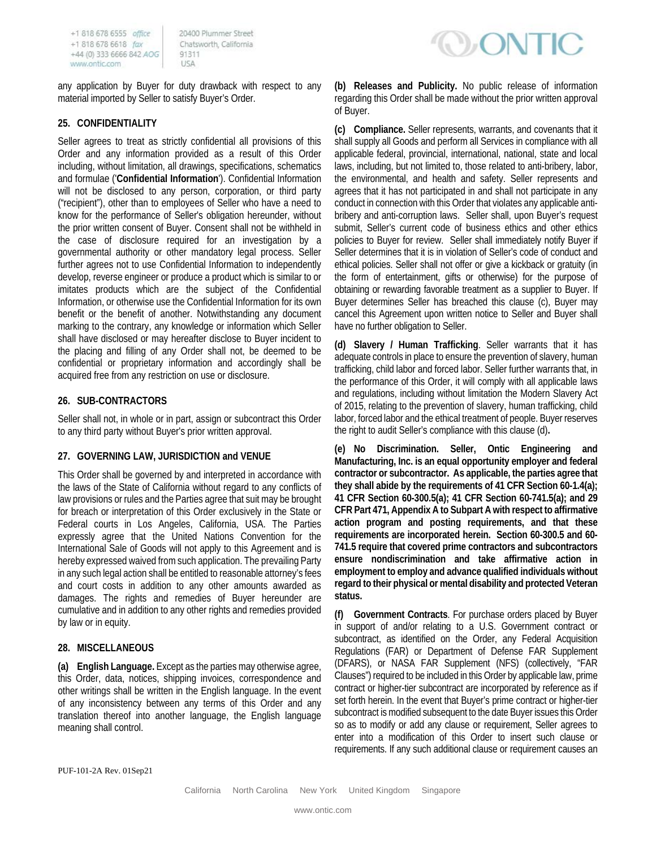20400 Plummer Street Chatsworth, California 91311 USA

any application by Buyer for duty drawback with respect to any material imported by Seller to satisfy Buyer's Order.

### **25. CONFIDENTIALITY**

Seller agrees to treat as strictly confidential all provisions of this Order and any information provided as a result of this Order including, without limitation, all drawings, specifications, schematics and formulae ('**Confidential Information**'). Confidential Information will not be disclosed to any person, corporation, or third party ("recipient"), other than to employees of Seller who have a need to know for the performance of Seller's obligation hereunder, without the prior written consent of Buyer. Consent shall not be withheld in the case of disclosure required for an investigation by a governmental authority or other mandatory legal process. Seller further agrees not to use Confidential Information to independently develop, reverse engineer or produce a product which is similar to or imitates products which are the subject of the Confidential Information, or otherwise use the Confidential Information for its own benefit or the benefit of another. Notwithstanding any document marking to the contrary, any knowledge or information which Seller shall have disclosed or may hereafter disclose to Buyer incident to the placing and filling of any Order shall not, be deemed to be confidential or proprietary information and accordingly shall be acquired free from any restriction on use or disclosure.

## **26. SUB-CONTRACTORS**

Seller shall not, in whole or in part, assign or subcontract this Order to any third party without Buyer's prior written approval.

### **27. GOVERNING LAW, JURISDICTION and VENUE**

This Order shall be governed by and interpreted in accordance with the laws of the State of California without regard to any conflicts of law provisions or rules and the Parties agree that suit may be brought for breach or interpretation of this Order exclusively in the State or Federal courts in Los Angeles, California, USA. The Parties expressly agree that the United Nations Convention for the International Sale of Goods will not apply to this Agreement and is hereby expressed waived from such application. The prevailing Party in any such legal action shall be entitled to reasonable attorney's fees and court costs in addition to any other amounts awarded as damages. The rights and remedies of Buyer hereunder are cumulative and in addition to any other rights and remedies provided by law or in equity.

### **28. MISCELLANEOUS**

**(a) English Language.** Except as the parties may otherwise agree, this Order, data, notices, shipping invoices, correspondence and other writings shall be written in the English language. In the event of any inconsistency between any terms of this Order and any translation thereof into another language, the English language meaning shall control.



**(b) Releases and Publicity.** No public release of information regarding this Order shall be made without the prior written approval of Buyer.

**(c) Compliance.** Seller represents, warrants, and covenants that it shall supply all Goods and perform all Services in compliance with all applicable federal, provincial, international, national, state and local laws, including, but not limited to, those related to anti-bribery, labor, the environmental, and health and safety. Seller represents and agrees that it has not participated in and shall not participate in any conduct in connection with this Order that violates any applicable antibribery and anti-corruption laws. Seller shall, upon Buyer's request submit, Seller's current code of business ethics and other ethics policies to Buyer for review. Seller shall immediately notify Buyer if Seller determines that it is in violation of Seller's code of conduct and ethical policies. Seller shall not offer or give a kickback or gratuity (in the form of entertainment, gifts or otherwise) for the purpose of obtaining or rewarding favorable treatment as a supplier to Buyer. If Buyer determines Seller has breached this clause (c), Buyer may cancel this Agreement upon written notice to Seller and Buyer shall have no further obligation to Seller.

**(d) Slavery / Human Trafficking**. Seller warrants that it has adequate controls in place to ensure the prevention of slavery, human trafficking, child labor and forced labor. Seller further warrants that, in the performance of this Order, it will comply with all applicable laws and regulations, including without limitation the Modern Slavery Act of 2015, relating to the prevention of slavery, human trafficking, child labor, forced labor and the ethical treatment of people. Buyer reserves the right to audit Seller's compliance with this clause (d)**.**

**(e) No Discrimination. Seller, Ontic Engineering and Manufacturing, Inc. is an equal opportunity employer and federal contractor or subcontractor. As applicable, the parties agree that they shall abide by the requirements of 41 CFR Section 60-1.4(a); 41 CFR Section 60-300.5(a); 41 CFR Section 60-741.5(a); and 29 CFR Part 471, Appendix A to Subpart A with respect to affirmative action program and posting requirements, and that these requirements are incorporated herein. Section 60-300.5 and 60- 741.5 require that covered prime contractors and subcontractors ensure nondiscrimination and take affirmative action in employment to employ and advance qualified individuals without regard to their physical or mental disability and protected Veteran status.**

**(f) Government Contracts**. For purchase orders placed by Buyer in support of and/or relating to a U.S. Government contract or subcontract, as identified on the Order, any Federal Acquisition Regulations (FAR) or Department of Defense FAR Supplement (DFARS), or NASA FAR Supplement (NFS) (collectively, "FAR Clauses") required to be included in this Order by applicable law, prime contract or higher-tier subcontract are incorporated by reference as if set forth herein. In the event that Buyer's prime contract or higher-tier subcontract is modified subsequent to the date Buyer issues this Order so as to modify or add any clause or requirement, Seller agrees to enter into a modification of this Order to insert such clause or requirements. If any such additional clause or requirement causes an